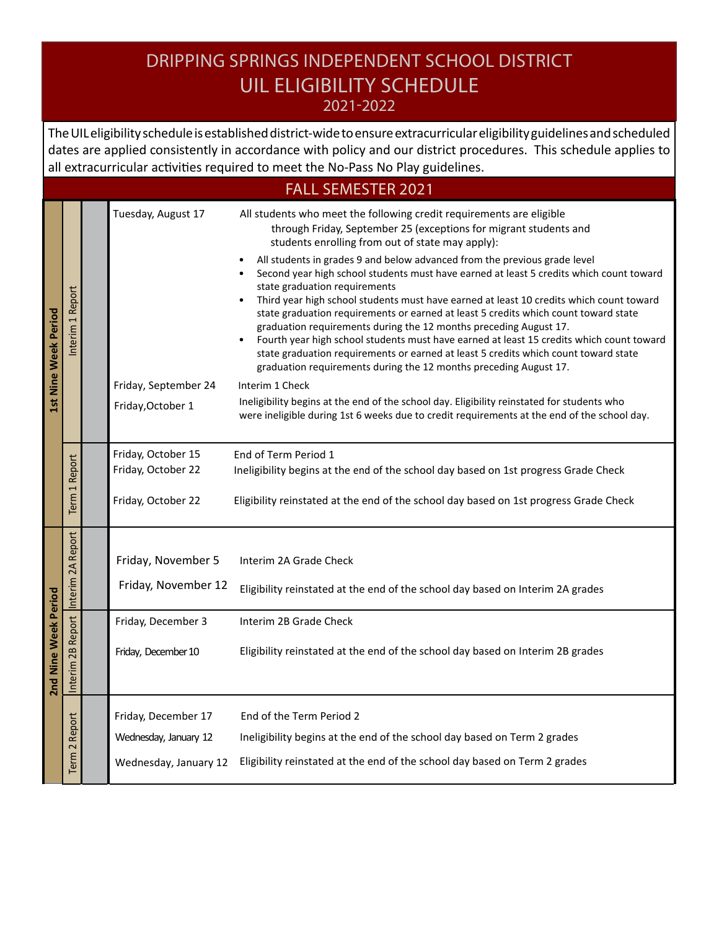## DRIPPING SPRINGS INDEPENDENT SCHOOL DISTRICT UIL ELIGIBILITY SCHEDULE

2021-2022

The UIL eligibility schedule is established district-wide to ensure extracurricular eligibility guidelines and scheduled dates are applied consistently in accordance with policy and our district procedures. This schedule applies to all extracurricular activities required to meet the No-Pass No Play guidelines.

|                      | <b>FALL SEMESTER 2021</b>              |  |                                                                                        |                                                                                                                                                                                                                                                                                                                                                                                                                                                                                                                                                                                                                                                                                                                                                                                                                                                                                                                                                                                                                                                                                                                                       |  |  |  |
|----------------------|----------------------------------------|--|----------------------------------------------------------------------------------------|---------------------------------------------------------------------------------------------------------------------------------------------------------------------------------------------------------------------------------------------------------------------------------------------------------------------------------------------------------------------------------------------------------------------------------------------------------------------------------------------------------------------------------------------------------------------------------------------------------------------------------------------------------------------------------------------------------------------------------------------------------------------------------------------------------------------------------------------------------------------------------------------------------------------------------------------------------------------------------------------------------------------------------------------------------------------------------------------------------------------------------------|--|--|--|
| 1st Nine Week Period | Interim 1 Report                       |  | Tuesday, August 17<br>Friday, September 24<br>Friday, October 1                        | All students who meet the following credit requirements are eligible<br>through Friday, September 25 (exceptions for migrant students and<br>students enrolling from out of state may apply):<br>All students in grades 9 and below advanced from the previous grade level<br>Second year high school students must have earned at least 5 credits which count toward<br>state graduation requirements<br>Third year high school students must have earned at least 10 credits which count toward<br>state graduation requirements or earned at least 5 credits which count toward state<br>graduation requirements during the 12 months preceding August 17.<br>Fourth year high school students must have earned at least 15 credits which count toward<br>state graduation requirements or earned at least 5 credits which count toward state<br>graduation requirements during the 12 months preceding August 17.<br>Interim 1 Check<br>Ineligibility begins at the end of the school day. Eligibility reinstated for students who<br>were ineligible during 1st 6 weeks due to credit requirements at the end of the school day. |  |  |  |
|                      | Report<br>$\overline{ }$<br>Term       |  | Friday, October 15<br>Friday, October 22<br>Friday, October 22                         | End of Term Period 1<br>Ineligibility begins at the end of the school day based on 1st progress Grade Check<br>Eligibility reinstated at the end of the school day based on 1st progress Grade Check                                                                                                                                                                                                                                                                                                                                                                                                                                                                                                                                                                                                                                                                                                                                                                                                                                                                                                                                  |  |  |  |
| 2nd Nine Week Period | Interim 2A Report<br>Interim 2B Report |  | Friday, November 5<br>Friday, November 12<br>Friday, December 3<br>Friday, December 10 | Interim 2A Grade Check<br>Eligibility reinstated at the end of the school day based on Interim 2A grades<br>Interim 2B Grade Check<br>Eligibility reinstated at the end of the school day based on Interim 2B grades                                                                                                                                                                                                                                                                                                                                                                                                                                                                                                                                                                                                                                                                                                                                                                                                                                                                                                                  |  |  |  |
|                      | Report<br>Term <sub>2</sub>            |  | Friday, December 17<br>Wednesday, January 12<br>Wednesday, January 12                  | End of the Term Period 2<br>Ineligibility begins at the end of the school day based on Term 2 grades<br>Eligibility reinstated at the end of the school day based on Term 2 grades                                                                                                                                                                                                                                                                                                                                                                                                                                                                                                                                                                                                                                                                                                                                                                                                                                                                                                                                                    |  |  |  |